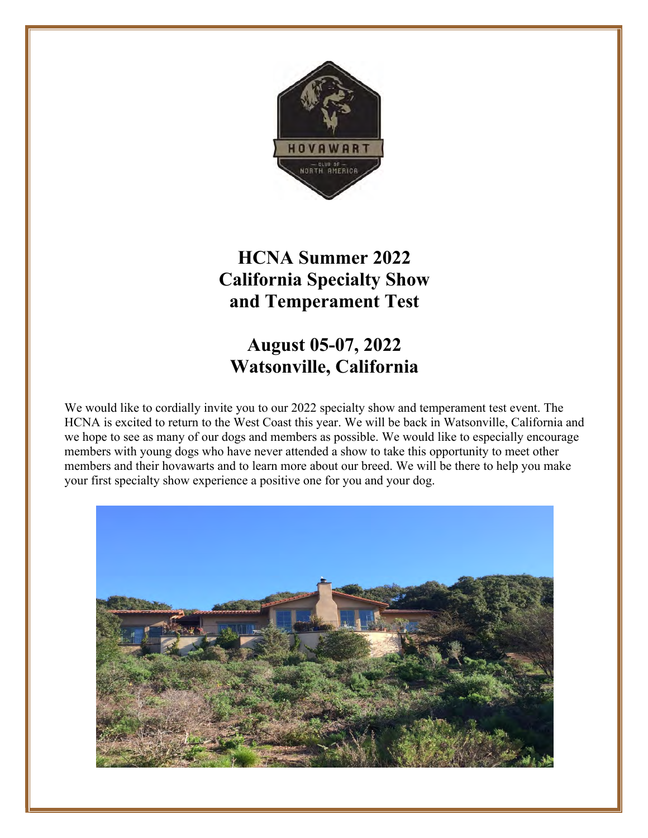

## **HCNA Summer 2022 California Specialty Show and Temperament Test**

### **August 05-07, 2022 Watsonville, California**

We would like to cordially invite you to our 2022 specialty show and temperament test event. The HCNA is excited to return to the West Coast this year. We will be back in Watsonville, California and we hope to see as many of our dogs and members as possible. We would like to especially encourage members with young dogs who have never attended a show to take this opportunity to meet other members and their hovawarts and to learn more about our breed. We will be there to help you make your first specialty show experience a positive one for you and your dog.

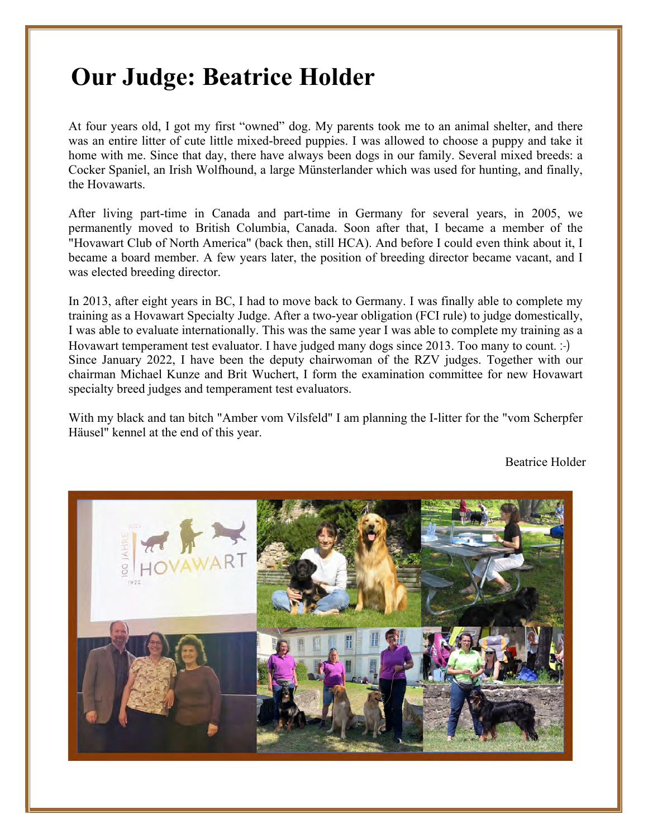# **Our Judge: Beatrice Holder**

At four years old, I got my first "owned" dog. My parents took me to an animal shelter, and there was an entire litter of cute little mixed-breed puppies. I was allowed to choose a puppy and take it home with me. Since that day, there have always been dogs in our family. Several mixed breeds: a Cocker Spaniel, an Irish Wolfhound, a large Münsterlander which was used for hunting, and finally, the Hovawarts.

After living part-time in Canada and part-time in Germany for several years, in 2005, we permanently moved to British Columbia, Canada. Soon after that, I became a member of the "Hovawart Club of North America" (back then, still HCA). And before I could even think about it, I became a board member. A few years later, the position of breeding director became vacant, and I was elected breeding director.

In 2013, after eight years in BC, I had to move back to Germany. I was finally able to complete my training as a Hovawart Specialty Judge. After a two-year obligation (FCI rule) to judge domestically, I was able to evaluate internationally. This was the same year I was able to complete my training as a Hovawart temperament test evaluator. I have judged many dogs since 2013. Too many to count. :-) Since January 2022, I have been the deputy chairwoman of the RZV judges. Together with our chairman Michael Kunze and Brit Wuchert, I form the examination committee for new Hovawart specialty breed judges and temperament test evaluators.

With my black and tan bitch "Amber vom Vilsfeld" I am planning the I-litter for the "vom Scherpfer Häusel" kennel at the end of this year.

Beatrice Holder

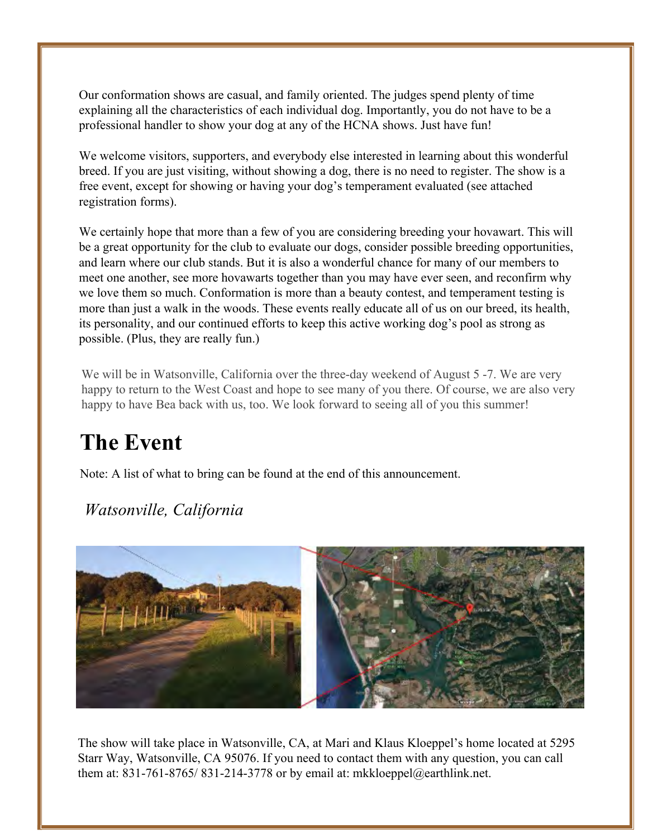Our conformation shows are casual, and family oriented. The judges spend plenty of time explaining all the characteristics of each individual dog. Importantly, you do not have to be a professional handler to show your dog at any of the HCNA shows. Just have fun!

We welcome visitors, supporters, and everybody else interested in learning about this wonderful breed. If you are just visiting, without showing a dog, there is no need to register. The show is a free event, except for showing or having your dog's temperament evaluated (see attached registration forms).

We certainly hope that more than a few of you are considering breeding your hovawart. This will be a great opportunity for the club to evaluate our dogs, consider possible breeding opportunities, and learn where our club stands. But it is also a wonderful chance for many of our members to meet one another, see more hovawarts together than you may have ever seen, and reconfirm why we love them so much. Conformation is more than a beauty contest, and temperament testing is more than just a walk in the woods. These events really educate all of us on our breed, its health, its personality, and our continued efforts to keep this active working dog's pool as strong as possible. (Plus, they are really fun.)

We will be in Watsonville, California over the three-day weekend of August 5-7. We are very happy to return to the West Coast and hope to see many of you there. Of course, we are also very happy to have Bea back with us, too. We look forward to seeing all of you this summer!

# **The Event**

Note: A list of what to bring can be found at the end of this announcement.

### *Watsonville, California*



The show will take place in Watsonville, CA, at Mari and Klaus Kloeppel's home located at 5295 Starr Way, Watsonville, CA 95076. If you need to contact them with any question, you can call them at: 831-761-8765/ 831-214-3778 or by email at: mkkloeppel@earthlink.net.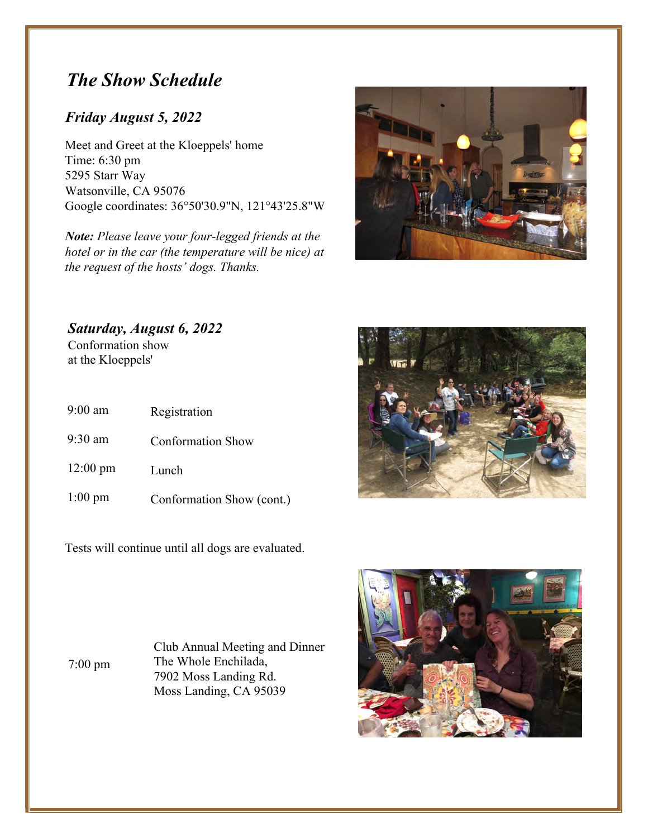### *The Show Schedule*

### *Friday August 5, 2022*

Meet and Greet at the Kloeppels' home Time: 6:30 pm 5295 Starr Way Watsonville, CA 95076 Google coordinates: 36°50'30.9"N, 121°43'25.8"W

*Note: Please leave your four-legged friends at the hotel or in the car (the temperature will be nice) at the request of the hosts' dogs. Thanks.*



*Saturday, August 6, 2022* Conformation show at the Kloeppels'

| $9:00$ am          | Registration              |
|--------------------|---------------------------|
| $9:30$ am          | <b>Conformation Show</b>  |
| $12:00 \text{ pm}$ | Lunch                     |
| $1:00 \text{ pm}$  | Conformation Show (cont.) |

Tests will continue until all dogs are evaluated.



7:00 pm

Club Annual Meeting and Dinner The Whole Enchilada, 7902 Moss Landing Rd. Moss Landing, CA 95039

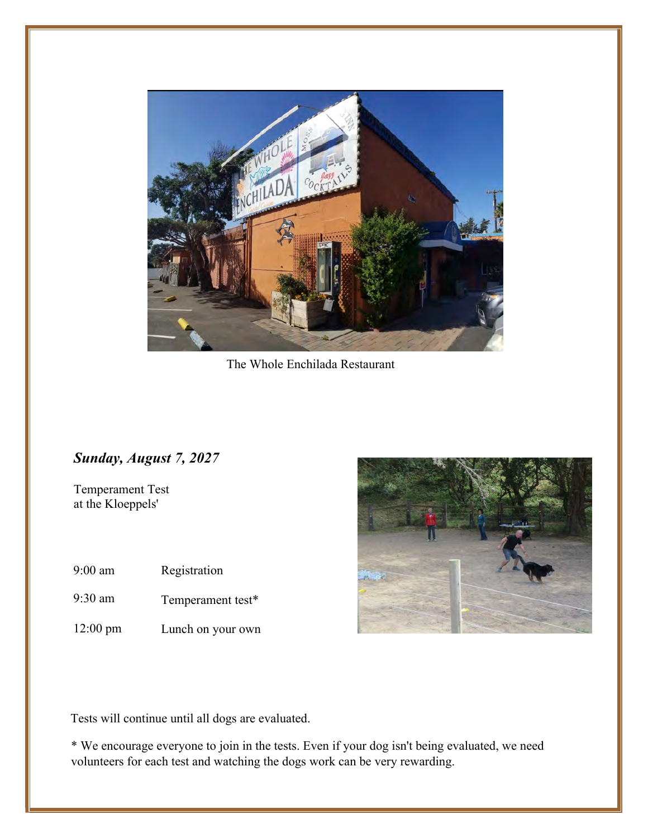

The Whole Enchilada Restaurant

### *Sunday, August 7, 2027*

Temperament Test at the Kloeppels'

- 9:00 am Registration
- 9:30 am Temperament test\*
- 12:00 pm Lunch on your own



Tests will continue until all dogs are evaluated.

\* We encourage everyone to join in the tests. Even if your dog isn't being evaluated, we need volunteers for each test and watching the dogs work can be very rewarding.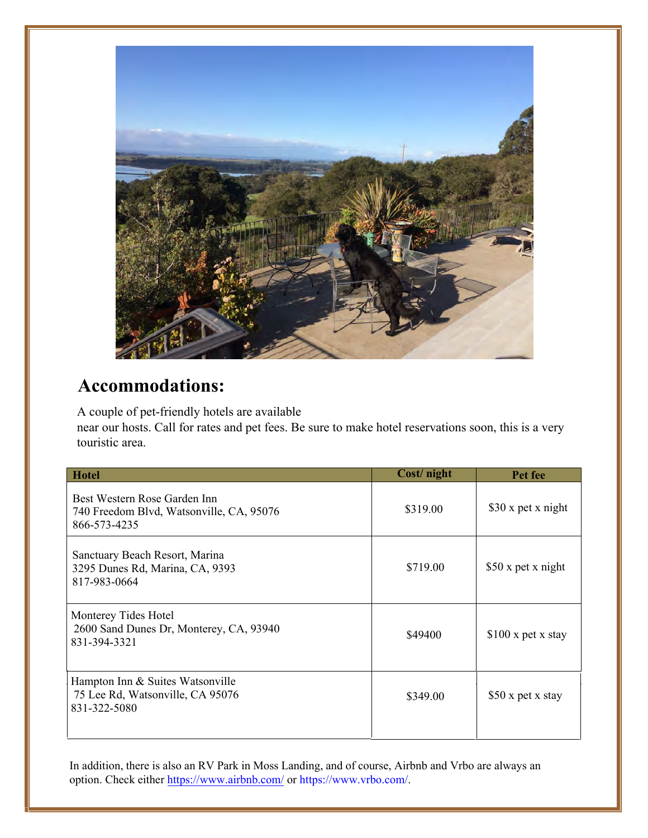

### **Accommodations:**

A couple of pet-friendly hotels are recommended by our hosts. Additional hotels can be found in the area. Call for rates and pet fees. Be sure to make hotel reservations soon, this is a very touristic area.

| <b>Hotel</b>                                                                             | Cost/night | Pet fee             |
|------------------------------------------------------------------------------------------|------------|---------------------|
| Best Western Rose Garden Inn<br>740 Freedom Blvd, Watsonville, CA, 95076<br>866-573-4235 | \$319.00   | \$30 x pet x night  |
| Sanctuary Beach Resort, Marina<br>3295 Dunes Rd, Marina, CA, 9393<br>817-983-0664        | \$719.00   | \$50 x pet x night  |
| Monterey Tides Hotel<br>2600 Sand Dunes Dr, Monterey, CA, 93940<br>831-394-3321          | \$494.00   | $$100 x$ pet x stay |
| Hampton Inn & Suites Watsonville<br>75 Lee Rd, Watsonville, CA 95076<br>831-322-5080     | \$349.00   | \$50 x pet x stay   |

In addition, there is also an RV Park in Moss Landing, and of course, Airbnb and Vrbo are always an option. Check either https://www.airbnb.com/ or https://www.vrbo.com/.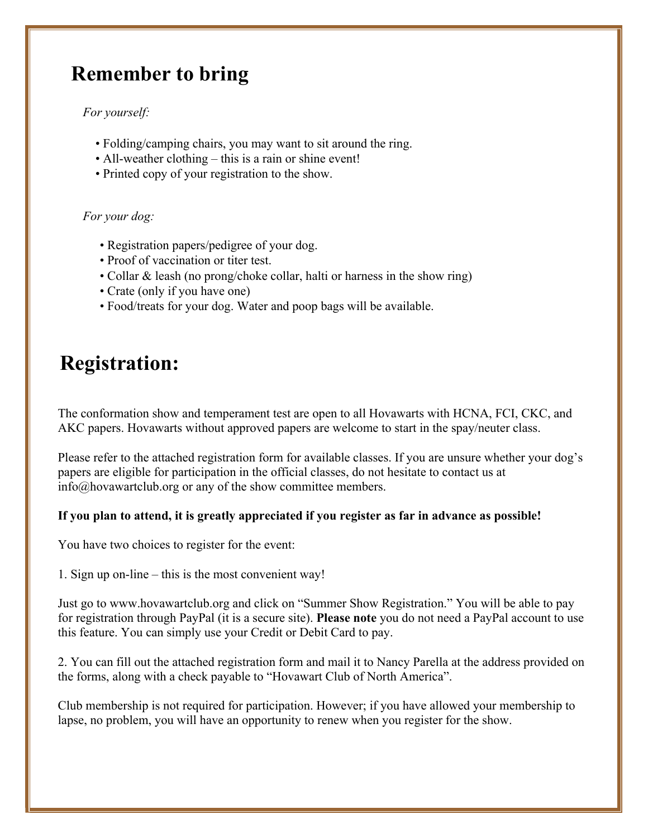## **Remember to bring**

#### *For yourself:*

- Folding/camping chairs, you may want to sit around the ring.
- All-weather clothing this is a rain or shine event!
- Printed copy of your registration to the show.

#### *For your dog:*

- Registration papers/pedigree of your dog.
- Proof of vaccination or titer test.
- Collar & leash (no prong/choke collar, halti or harness in the show ring)
- Crate (only if you have one)
- Food/treats for your dog. Water and poop bags will be available.

## **Registration:**

The conformation show and temperament test are open to all Hovawarts with HCNA, FCI, CKC, and AKC papers. Hovawarts without approved papers are welcome to start in the spay/neuter class.

Please refer to the attached registration form for available classes. If you are unsure whether your dog's papers are eligible for participation in the official classes, do not hesitate to contact us at [info@hovawartclub.org](mailto:info@hovawartclub.org) or any of the show committee members.

#### **If you plan to attend, it is greatly appreciated if you register as far in advance as possible!**

You have two choices to register for the event:

1. Sign up on-line – this is the most convenient way!

Just go to [www.hovawartclub.org](http://www.hovawartclub.org) and click on "Summer Show Registration." You will be able to pay for registration through PayPal (it is a secure site). **Please note** you do not need a PayPal account to use this feature. You can simply use your Credit or Debit Card to pay.

2. You can fill out the attached registration form and mail it to Nancy Parella at the address provided on the forms, along with a check payable to "Hovawart Club of North America".

Club membership is not required for participation. However; if you have allowed your membership to lapse, no problem, you will have an opportunity to renew when you register for the show.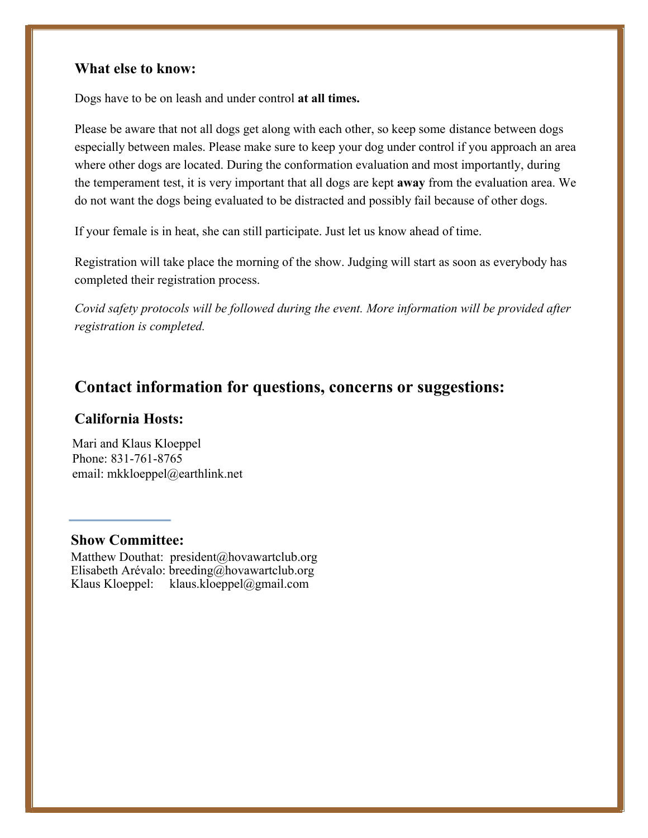#### **What else to know:**

Dogs have to be on leash and under control **at all times.** 

Please be aware that not all dogs get along with each other, so keep some distance between dogs especially between males. Please make sure to keep your dog under control if you approach an area where other dogs are located. During the conformation evaluation and most importantly, during the temperament test, it is very important that all dogs are kept **away** from the evaluation area. We do not want the dogs being evaluated to be distracted and possibly fail because of other dogs.

If your female is in heat, she can still participate. Just let us know ahead of time.

Registration will take place the morning of the show. Judging will start as soon as everybody has completed their registration process.

*Covid safety protocols will be followed during the event. More information will be provided after registration is completed.* 

### **Contact information for questions, concerns or suggestions:**

#### **C[alifornia Hosts:](mailto:mkkloeppel@earthlink.net)**

Mari and Klaus Kloeppel Phone: 831-761-8765 email: mkkloeppel@earthlink.net

#### **Show Com[mittee:](mailto:president@hovawartclub.org)**

[Matthew Douthat: president@hovawartclub.or](mailto:breeding@hovawartclub.orgKlaus)g Elisabeth Arévalo: breeding@hovawartclub.org Klaus Kloeppel: klaus.kloeppel@gmail.com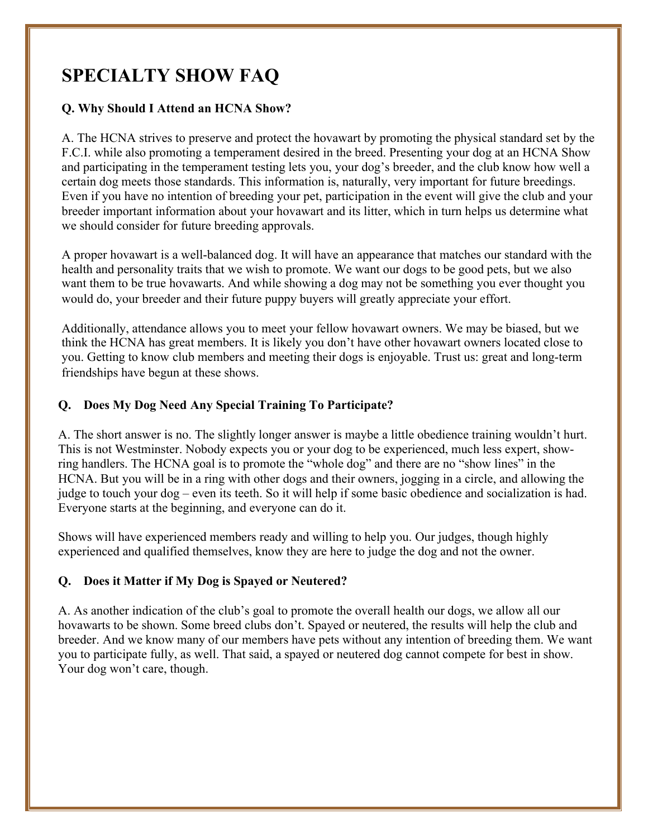## **SPECIALTY SHOW FAQ**

#### **Q. Why Should I Attend an HCNA Show?**

A. The HCNA strives to preserve and protect the hovawart by promoting the physical standard set by the F.C.I. while also promoting a temperament desired in the breed. Presenting your dog at an HCNA Show and participating in the temperament testing lets you, your dog's breeder, and the club know how well a certain dog meets those standards. This information is, naturally, very important for future breedings. Even if you have no intention of breeding your pet, participation in the event will give the club and your breeder important information about your hovawart and its litter, which in turn helps us determine what we should consider for future breeding approvals.

A proper hovawart is a well-balanced dog. It will have an appearance that matches our standard with the health and personality traits that we wish to promote. We want our dogs to be good pets, but we also want them to be true hovawarts. And while showing a dog may not be something you ever thought you would do, your breeder and their future puppy buyers will greatly appreciate your effort.

Additionally, attendance allows you to meet your fellow hovawart owners. We may be biased, but we think the HCNA has great members. It is likely you don't have other hovawart owners located close to you. Getting to know club members and meeting their dogs is enjoyable. Trust us: great and long-term friendships have begun at these shows.

#### **Q. Does My Dog Need Any Special Training To Participate?**

A. The short answer is no. The slightly longer answer is maybe a little obedience training wouldn't hurt. This is not Westminster. Nobody expects you or your dog to be experienced, much less expert, showring handlers. The HCNA goal is to promote the "whole dog" and there are no "show lines" in the HCNA. But you will be in a ring with other dogs and their owners, jogging in a circle, and allowing the judge to touch your dog – even its teeth. So it will help if some basic obedience and socialization is had. Everyone starts at the beginning, and everyone can do it.

Shows will have experienced members ready and willing to help you. Our judges, though highly experienced and qualified themselves, know they are here to judge the dog and not the owner.

#### **Q. Does it Matter if My Dog is Spayed or Neutered?**

A. As another indication of the club's goal to promote the overall health our dogs, we allow all our hovawarts to be shown. Some breed clubs don't. Spayed or neutered, the results will help the club and breeder. And we know many of our members have pets without any intention of breeding them. We want you to participate fully, as well. That said, a spayed or neutered dog cannot compete for best in show. Your dog won't care, though.